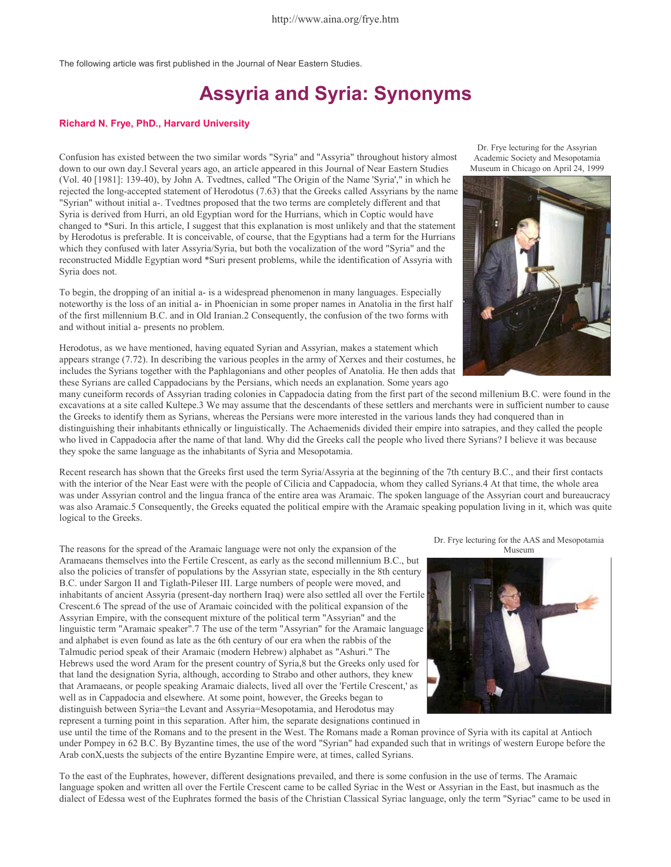The following article was first published in the Journal of Near Eastern Studies.

# Assyria and Syria: Synonyms

### Richard N. Frye, PhD., Harvard University

Confusion has existed between the two similar words "Syria" and "Assyria" throughout history almost down to our own day.l Several years ago, an article appeared in this Journal of Near Eastern Studies (Vol. 40 [1981]: 139-40), by John A. Tvedtnes, called "The Origin of the Name 'Syria'," in which he rejected the long-accepted statement of Herodotus (7.63) that the Greeks called Assyrians by the name "Syrian" without initial a-. Tvedtnes proposed that the two terms are completely different and that Syria is derived from Hurri, an old Egyptian word for the Hurrians, which in Coptic would have changed to \*Suri. In this article, I suggest that this explanation is most unlikely and that the statement by Herodotus is preferable. It is conceivable, of course, that the Egyptians had a term for the Hurrians which they confused with later Assyria/Syria, but both the vocalization of the word "Syria" and the reconstructed Middle Egyptian word \*Suri present problems, while the identification of Assyria with Syria does not.

To begin, the dropping of an initial a- is a widespread phenomenon in many languages. Especially noteworthy is the loss of an initial a- in Phoenician in some proper names in Anatolia in the first half of the first millennium B.C. and in Old Iranian.2 Consequently, the confusion of the two forms with and without initial a- presents no problem.

Herodotus, as we have mentioned, having equated Syrian and Assyrian, makes a statement which appears strange (7.72). In describing the various peoples in the army of Xerxes and their costumes, he includes the Syrians together with the Paphlagonians and other peoples of Anatolia. He then adds that these Syrians are called Cappadocians by the Persians, which needs an explanation. Some years ago

many cuneiform records of Assyrian trading colonies in Cappadocia dating from the first part of the second millenium B.C. were found in the excavations at a site called Kultepe.3 We may assume that the descendants of these settlers and merchants were in sufficient number to cause the Greeks to identify them as Syrians, whereas the Persians were more interested in the various lands they had conquered than in distinguishing their inhabitants ethnically or linguistically. The Achaemenids divided their empire into satrapies, and they called the people who lived in Cappadocia after the name of that land. Why did the Greeks call the people who lived there Syrians? I believe it was because they spoke the same language as the inhabitants of Syria and Mesopotamia.

Recent research has shown that the Greeks first used the term Syria/Assyria at the beginning of the 7th century B.C., and their first contacts with the interior of the Near East were with the people of Cilicia and Cappadocia, whom they called Syrians.4 At that time, the whole area was under Assyrian control and the lingua franca of the entire area was Aramaic. The spoken language of the Assyrian court and bureaucracy was also Aramaic.5 Consequently, the Greeks equated the political empire with the Aramaic speaking population living in it, which was quite logical to the Greeks.

The reasons for the spread of the Aramaic language were not only the expansion of the Aramaeans themselves into the Fertile Crescent, as early as the second millennium B.C., but also the policies of transfer of populations by the Assyrian state, especially in the 8th century B.C. under Sargon II and Tiglath-Pileser III. Large numbers of people were moved, and inhabitants of ancient Assyria (present-day northern Iraq) were also settled all over the Fertile Crescent.6 The spread of the use of Aramaic coincided with the political expansion of the Assyrian Empire, with the consequent mixture of the political term "Assyrian" and the linguistic term "Aramaic speaker".7 The use of the term "Assyrian" for the Aramaic language and alphabet is even found as late as the 6th century of our era when the rabbis of the Talmudic period speak of their Aramaic (modern Hebrew) alphabet as "Ashuri." The Hebrews used the word Aram for the present country of Syria,8 but the Greeks only used for that land the designation Syria, although, according to Strabo and other authors, they knew that Aramaeans, or people speaking Aramaic dialects, lived all over the 'Fertile Crescent,' as well as in Cappadocia and elsewhere. At some point, however, the Greeks began to distinguish between Syria=the Levant and Assyria=Mesopotamia, and Herodotus may represent a turning point in this separation. After him, the separate designations continued in

Dr. Frye lecturing for the Assyrian Academic Society and Mesopotamia Museum in Chicago on April 24, 1999



Dr. Frye lecturing for the AAS and Mesopotamia Museum



use until the time of the Romans and to the present in the West. The Romans made a Roman province of Syria with its capital at Antioch under Pompey in 62 B.C. By Byzantine times, the use of the word "Syrian" had expanded such that in writings of western Europe before the Arab conX,uests the subjects of the entire Byzantine Empire were, at times, called Syrians.

To the east of the Euphrates, however, different designations prevailed, and there is some confusion in the use of terms. The Aramaic language spoken and written all over the Fertile Crescent came to be called Syriac in the West or Assyrian in the East, but inasmuch as the dialect of Edessa west of the Euphrates formed the basis of the Christian Classical Syriac language, only the term "Syriac" came to be used in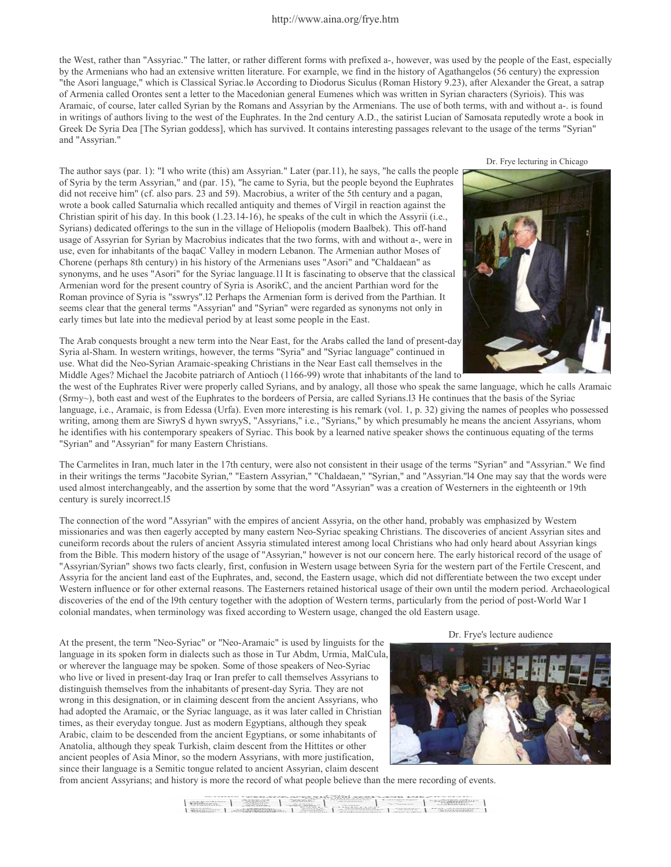# http://www.aina.org/frye.htm

the West, rather than "Assyriac." The latter, or rather different forms with prefixed a-, however, was used by the people of the East, especially by the Armenians who had an extensive written literature. For exarnple, we find in the history of Agathangelos (56 century) the expression "the Asori language," which is Classical Syriac.lø According to Diodorus Siculus (Roman History 9.23), after Alexander the Great, a satrap of Armenia called Orontes sent a letter to the Macedonian general Eumenes which was written in Syrian characters (Syriois). This was Aramaic, of course, later called Syrian by the Romans and Assyrian by the Armenians. The use of both terms, with and without a-. is found in writings of authors living to the west of the Euphrates. In the 2nd century A.D., the satirist Lucian of Samosata reputedly wrote a book in Greek De Syria Dea [The Syrian goddess], which has survived. It contains interesting passages relevant to the usage of the terms "Syrian" and "Assyrian."

The author says (par. 1): "I who write (this) am Assyrian." Later (par.11), he says, "he calls the people of Syria by the term Assyrian," and (par. 15), "he came to Syria, but the people beyond the Euphrates did not receive him" (cf. also pars. 23 and 59). Macrobius, a writer of the 5th century and a pagan, wrote a book called Saturnalia which recalled antiquity and themes of Virgil in reaction against the Christian spirit of his day. In this book  $(1.23.14-16)$ , he speaks of the cult in which the Assyrii (i.e., Syrians) dedicated offerings to the sun in the village of Heliopolis (modern Baalbek). This off-hand usage of Assyrian for Syrian by Macrobius indicates that the two forms, with and without a-, were in use, even for inhabitants of the baqaC Valley in modern Lebanon. The Armenian author Moses of Chorene (perhaps 8th century) in his history of the Armenians uses "Asori" and "Chaldaean" as synonyms, and he uses "Asori" for the Syriac language.1l It is fascinating to observe that the classical Armenian word for the present country of Syria is AsorikC, and the ancient Parthian word for the Roman province of Syria is "sswrys".l2 Perhaps the Armenian form is derived from the Parthian. It seems clear that the general terms "Assyrian" and "Syrian" were regarded as synonyms not only in early times but late into the medieval period by at least some people in the East.

Dr. Frye lecturing in Chicago

The Arab conquests brought a new term into the Near East, for the Arabs called the land of present-day Syria al-Sham. In western writings, however, the terms "Syria" and "Syriac language" continued in use. What did the Neo-Syrian Aramaic-speaking Christians in the Near East call themselves in the Middle Ages? Michael the Jacobite patriarch of Antioch (1166-99) wrote that inhabitants of the land to

the west of the Euphrates River were properly called Syrians, and by analogy, all those who speak the same language, which he calls Aramaic (Srmy~), both east and west of the Euphrates to the bordeers of Persia, are called Syrians.l3 He continues that the basis of the Syriac language, i.e., Aramaic, is from Edessa (Urfa). Even more interesting is his remark (vol. 1, p. 32) giving the names of peoples who possessed writing, among them are SiwryS d hywn swryyS, "Assyrians," i.e., "Syrians," by which presumably he means the ancient Assyrians, whom he identifies with his contemporary speakers of Syriac. This book by a learned native speaker shows the continuous equating of the terms "Syrian" and "Assyrian" for many Eastern Christians.

The Carmelites in Iran, much later in the 17th century, were also not consistent in their usage of the terms "Syrian" and "Assyrian." We find in their writings the terms "Jacobite Syrian," "Eastern Assyrian," "Chaldaean," "Syrian," and ''Assyrian.''l4 One may say that the words were used almost interchangeably, and the assertion by some that the word "Assyrian" was a creation of Westerners in the eighteenth or 19th century is surely incorrect.l5

The connection of the word "Assyrian" with the empires of ancient Assyria, on the other hand, probably was emphasized by Western missionaries and was then eagerly accepted by many eastern Neo-Syriac speaking Christians. The discoveries of ancient Assyrian sites and cuneiform records about the rulers of ancient Assyria stimulated interest among local Christians who had only heard about Assyrian kings from the Bible. This modern history of the usage of "Assyrian," however is not our concern here. The early historical record of the usage of "Assyrian/Syrian" shows two facts clearly, first, confusion in Western usage between Syria for the western part of the Fertile Crescent, and Assyria for the ancient land east of the Euphrates, and, second, the Eastern usage, which did not differentiate between the two except under Western influence or for other external reasons. The Easterners retained historical usage of their own until the modern period. Archaeological discoveries of the end of the l9th century together with the adoption of Western terms, particularly from the period of post-World War I colonial mandates, when terminology was fixed according to Western usage, changed the old Eastern usage.

At the present, the term "Neo-Syriac" or "Neo-Aramaic" is used by linguists for the language in its spoken form in dialects such as those in Tur Abdm, Urmia, MalCula, or wherever the language may be spoken. Some of those speakers of Neo-Syriac who live or lived in present-day Iraq or Iran prefer to call themselves Assyrians to distinguish themselves from the inhabitants of present-day Syria. They are not wrong in this designation, or in claiming descent from the ancient Assyrians, who had adopted the Aramaic, or the Syriac language, as it was later called in Christian times, as their everyday tongue. Just as modern Egyptians, although they speak Arabic, claim to be descended from the ancient Egyptians, or some inhabitants of Anatolia, although they speak Turkish, claim descent from the Hittites or other ancient peoples of Asia Minor, so the modern Assyrians, with more justification, since their language is a Semitic tongue related to ancient Assyrian, claim descent

Dr. Frye's lecture audience



from ancient Assyrians; and history is more the record of what people believe than the mere recording of events.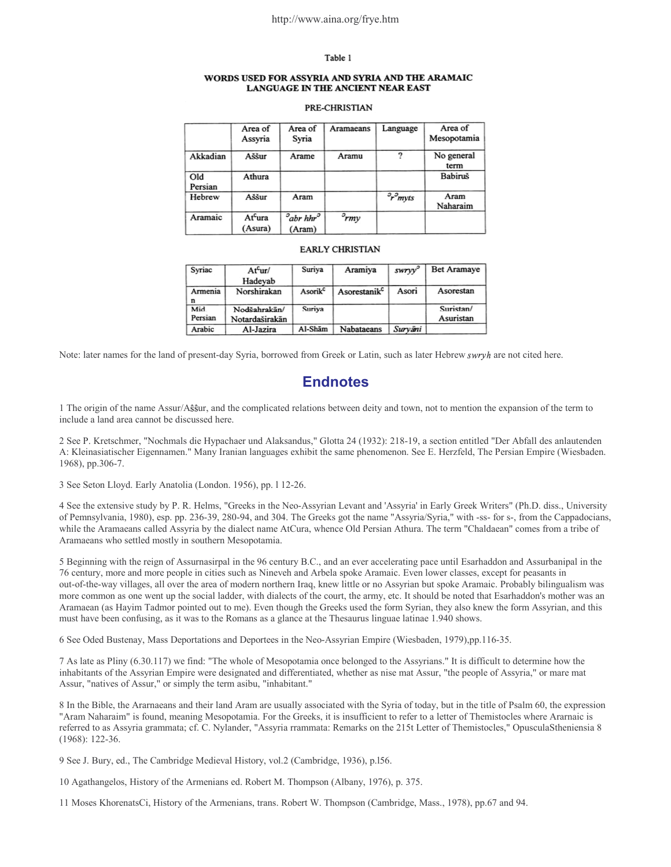#### http://www.aina.org/frye.htm

#### Table 1

#### WORDS USED FOR ASSYRIA AND SYRIA AND THE ARAMAIC LANGUAGE IN THE ANCIENT NEAR EAST

## PRE-CHRISTIAN

|                | Area of<br>Assyria             | Area of<br>Syria                        | Aramaeans      | Language                     | Area of<br>Mesopotamia |
|----------------|--------------------------------|-----------------------------------------|----------------|------------------------------|------------------------|
| Akkadian       | Aššur                          | Arame                                   | Aramu          | ?                            | No general<br>term     |
| Old<br>Persian | Athura                         |                                         |                |                              | Babiruš                |
| Hebrew         | Aššur                          | Aram                                    |                | $\partial_r \partial_{mylS}$ | Aram<br>Naharaim       |
| Aramaic        | At <sup>c</sup> ura<br>(Asura) | $\partial$ abr hhr $\partial$<br>(Aram) | $\sigma_{rmy}$ |                              |                        |

#### **EARLY CHRISTIAN**

| Syriac         | $At^c$ ur/<br>Hadevab          | Suriya              | Aramiya                  | swryy <sup>3</sup> | <b>Bet Aramaye</b>     |
|----------------|--------------------------------|---------------------|--------------------------|--------------------|------------------------|
| Armenia<br>n   | Norshirakan                    | Asorik <sup>c</sup> | Asorestanik <sup>c</sup> | Asori              | Asorestan              |
| Mid<br>Persian | Nodšahrakān/<br>Notardaširakān | Suriya              |                          |                    | Suristan/<br>Asuristan |
| Arabic         | Al-Jazira                      | Al-Shām             | Nabataeans               | Survāni            |                        |

Note: later names for the land of present-day Syria, borrowed from Greek or Latin, such as later Hebrew swryh are not cited here.

# **Endnotes**

1 The origin of the name Assur/Ast sur, and the complicated relations between deity and town, not to mention the expansion of the term to include a land area cannot be discussed here.

2 See P. Kretschmer, "Nochmals die Hypachaer und Alaksandus," Glotta 24 (1932): 218-19, a section entitled "Der Abfall des anlautenden A: Kleinasiatischer Eigennamen." Many Iranian languages exhibit the same phenomenon. See E. Herzfeld, The Persian Empire (Wiesbaden. 1968), pp.306-7.

3 See Seton Lloyd. Early Anatolia (London. 1956), pp. l 12-26.

4 See the extensive study by P. R. Helms, "Greeks in the Neo-Assyrian Levant and 'Assyria' in Early Greek Writers" (Ph.D. diss., University of Pemnsylvania, 1980), esp. pp. 236-39, 280-94, and 304. The Greeks got the name "Assyria/Syria," with -ss- for s-, from the Cappadocians, while the Aramaeans called Assyria by the dialect name AtCura, whence Old Persian Athura. The term "Chaldaean" comes from a tribe of Aramaeans who settled mostly in southern Mesopotamia.

5 Beginning with the reign of Assurnasirpal in the 96 century B.C., and an ever accelerating pace until Esarhaddon and Assurbanipal in the 76 century, more and more people in cities such as Nineveh and Arbela spoke Aramaic. Even lower classes, except for peasants in out-of-the-way villages, all over the area of modern northern Iraq, knew little or no Assyrian but spoke Aramaic. Probably bilingualism was more common as one went up the social ladder, with dialects of the court, the army, etc. It should be noted that Esarhaddon's mother was an Aramaean (as Hayim Tadmor pointed out to me). Even though the Greeks used the form Syrian, they also knew the form Assyrian, and this must have been confusing, as it was to the Romans as a glance at the Thesaurus linguae latinae 1.940 shows.

6 See Oded Bustenay, Mass Deportations and Deportees in the Neo-Assyrian Empire (Wiesbaden, 1979),pp.116-35.

7 As late as Pliny (6.30.117) we find: "The whole of Mesopotamia once belonged to the Assyrians." It is difficult to determine how the inhabitants of the Assyrian Empire were designated and differentiated, whether as nise mat Assur, "the people of Assyria," or mare mat Assur, "natives of Assur," or simply the term asibu, "inhabitant."

8 In the Bible, the Ararnaeans and their land Aram are usually associated with the Syria of today, but in the title of Psalm 60, the expression "Aram Naharaim" is found, meaning Mesopotamia. For the Greeks, it is insufficient to refer to a letter of Themistocles where Ararnaic is referred to as Assyria grammata; cf. C. Nylander, "Assyria rrammata: Remarks on the 215t Letter of Themistocles," OpusculaStheniensia 8 (1968): 122-36.

9 See J. Bury, ed., The Cambridge Medieval History, vol.2 (Cambridge, 1936), p.l56.

10 Agathangelos, History of the Armenians ed. Robert M. Thompson (Albany, 1976), p. 375.

11 Moses KhorenatsCi, History of the Armenians, trans. Robert W. Thompson (Cambridge, Mass., 1978), pp.67 and 94.